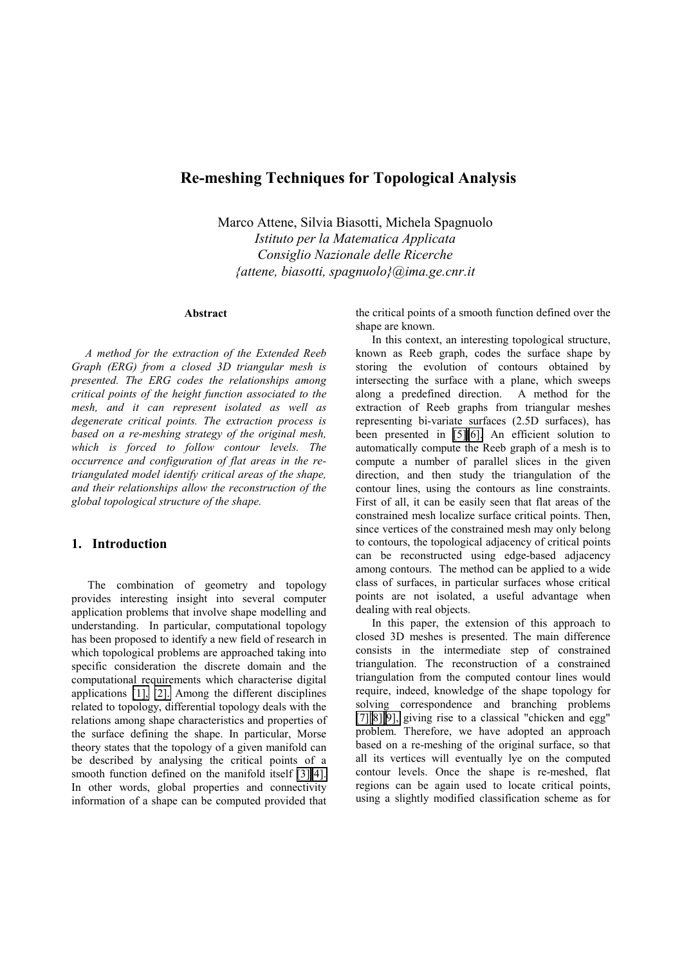# **Re-meshing Techniques for Topological Analysis**

Marco Attene, Silvia Biasotti, Michela Spagnuolo *Istituto per la Matematica Applicata Consiglio Nazionale delle Ricerche {attene, biasotti, spagnuolo}@ima.ge.cnr.it* 

#### **Abstract**

*A method for the extraction of the Extended Reeb Graph (ERG) from a closed 3D triangular mesh is presented. The ERG codes the relationships among critical points of the height function associated to the mesh, and it can represent isolated as well as degenerate critical points. The extraction process is based on a re-meshing strategy of the original mesh, which is forced to follow contour levels. The occurrence and configuration of flat areas in the retriangulated model identify critical areas of the shape, and their relationships allow the reconstruction of the global topological structure of the shape.* 

### **1. Introduction**

The combination of geometry and topology provides interesting insight into several computer application problems that involve shape modelling and understanding. In particular, computational topology has been proposed to identify a new field of research in which topological problems are approached taking into specific consideration the discrete domain and the computational requirements which characterise digital applications [\[1\],](#page-8-0) [\[2\].](#page-9-0) Among the different disciplines related to topology, differential topology deals with the relations among shape characteristics and properties of the surface defining the shape. In particular, Morse theory states that the topology of a given manifold can be described by analysing the critical points of a smooth function defined on the manifold itself [\[3\]\[4\].](#page-9-0)  In other words, global properties and connectivity information of a shape can be computed provided that

the critical points of a smooth function defined over the shape are known.

In this context, an interesting topological structure, known as Reeb graph, codes the surface shape by storing the evolution of contours obtained by intersecting the surface with a plane, which sweeps along a predefined direction. A method for the along a predefined direction. extraction of Reeb graphs from triangular meshes representing bi-variate surfaces (2.5D surfaces), has been presented in [\[5\]\[6\].](#page-9-0) An efficient solution to automatically compute the Reeb graph of a mesh is to compute a number of parallel slices in the given direction, and then study the triangulation of the contour lines, using the contours as line constraints. First of all, it can be easily seen that flat areas of the constrained mesh localize surface critical points. Then, since vertices of the constrained mesh may only belong to contours, the topological adjacency of critical points can be reconstructed using edge-based adjacency among contours. The method can be applied to a wide class of surfaces, in particular surfaces whose critical points are not isolated, a useful advantage when dealing with real objects.

In this paper, the extension of this approach to closed 3D meshes is presented. The main difference consists in the intermediate step of constrained triangulation. The reconstruction of a constrained triangulation from the computed contour lines would require, indeed, knowledge of the shape topology for solving correspondence and branching problems [\[7\]\[8\]\[9\],](#page-9-0) giving rise to a classical "chicken and egg" problem. Therefore, we have adopted an approach based on a re-meshing of the original surface, so that all its vertices will eventually lye on the computed contour levels. Once the shape is re-meshed, flat regions can be again used to locate critical points, using a slightly modified classification scheme as for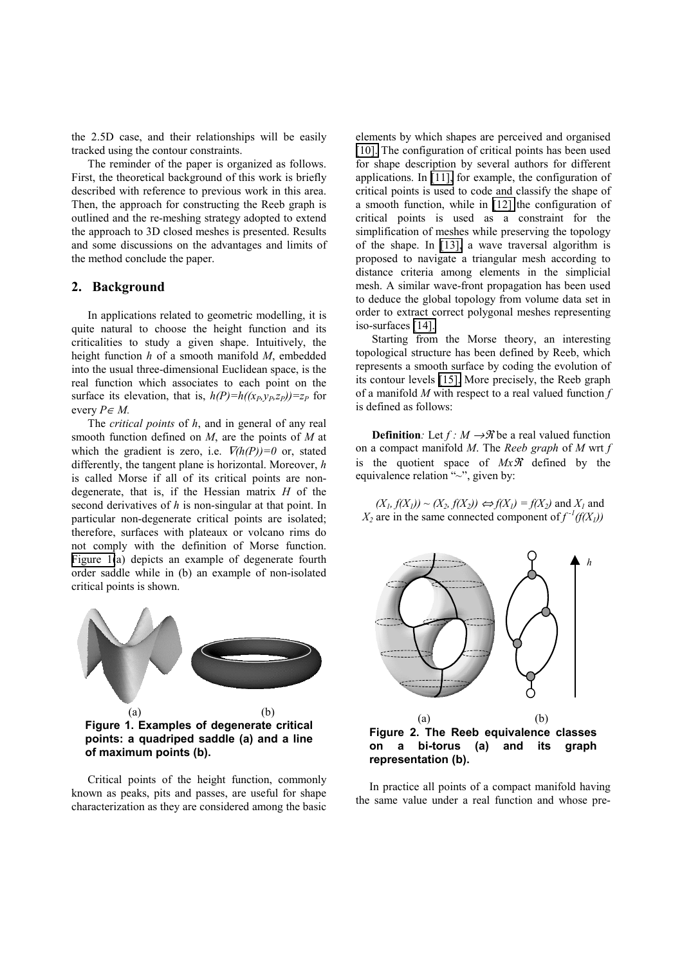<span id="page-1-0"></span>the 2.5D case, and their relationships will be easily tracked using the contour constraints.

The reminder of the paper is organized as follows. First, the theoretical background of this work is briefly described with reference to previous work in this area. Then, the approach for constructing the Reeb graph is outlined and the re-meshing strategy adopted to extend the approach to 3D closed meshes is presented. Results and some discussions on the advantages and limits of the method conclude the paper.

### **2. Background**

In applications related to geometric modelling, it is quite natural to choose the height function and its criticalities to study a given shape. Intuitively, the height function *h* of a smooth manifold *M*, embedded into the usual three-dimensional Euclidean space, is the real function which associates to each point on the surface its elevation, that is,  $h(P)=h((x_P, y_P, z_P))=z_P$  for every  $P \in M$ .

The *critical points* of *h*, and in general of any real smooth function defined on *M*, are the points of *M* at which the gradient is zero, i.e.  $\overline{V}(h(P))=0$  or, stated differently, the tangent plane is horizontal. Moreover, *h* is called Morse if all of its critical points are nondegenerate, that is, if the Hessian matrix *H* of the second derivatives of *h* is non-singular at that point. In particular non-degenerate critical points are isolated; therefore, surfaces with plateaux or volcano rims do not comply with the definition of Morse function. Figure 1(a) depicts an example of degenerate fourth order saddle while in (b) an example of non-isolated critical points is shown.



Critical points of the height function, commonly known as peaks, pits and passes, are useful for shape characterization as they are considered among the basic

elements by which shapes are perceived and organised [\[10\].](#page-9-0) The configuration of critical points has been used for shape description by several authors for different applications. In [\[11\],](#page-9-0) for example, the configuration of critical points is used to code and classify the shape of a smooth function, while in [\[12\]](#page-9-0) the configuration of critical points is used as a constraint for the simplification of meshes while preserving the topology of the shape. In [\[13\],](#page-9-0) a wave traversal algorithm is proposed to navigate a triangular mesh according to distance criteria among elements in the simplicial mesh. A similar wave-front propagation has been used to deduce the global topology from volume data set in order to extract correct polygonal meshes representing iso-surfaces [\[14\].](#page-9-0) 

Starting from the Morse theory, an interesting topological structure has been defined by Reeb, which represents a smooth surface by coding the evolution of its contour levels [\[15\].](#page-9-0) More precisely, the Reeb graph of a manifold *M* with respect to a real valued function *f* is defined as follows:

**Definition**: Let  $f : M \rightarrow \mathcal{R}$  be a real valued function on a compact manifold *M*. The *Reeb graph* of *M* wrt *f* is the quotient space of  $Mx\mathcal{R}$  defined by the equivalence relation "*~*", given by:

 $(X_1, f(X_1)) \sim (X_2, f(X_2)) \Leftrightarrow f(X_1) = f(X_2)$  and  $X_1$  and  $X_2$  are in the same connected component of  $f^{-1}(f(X_1))$ 



**Figure 2. The Reeb equivalence classes on a bi-torus (a) and its graph representation (b).** 

In practice all points of a compact manifold having the same value under a real function and whose pre-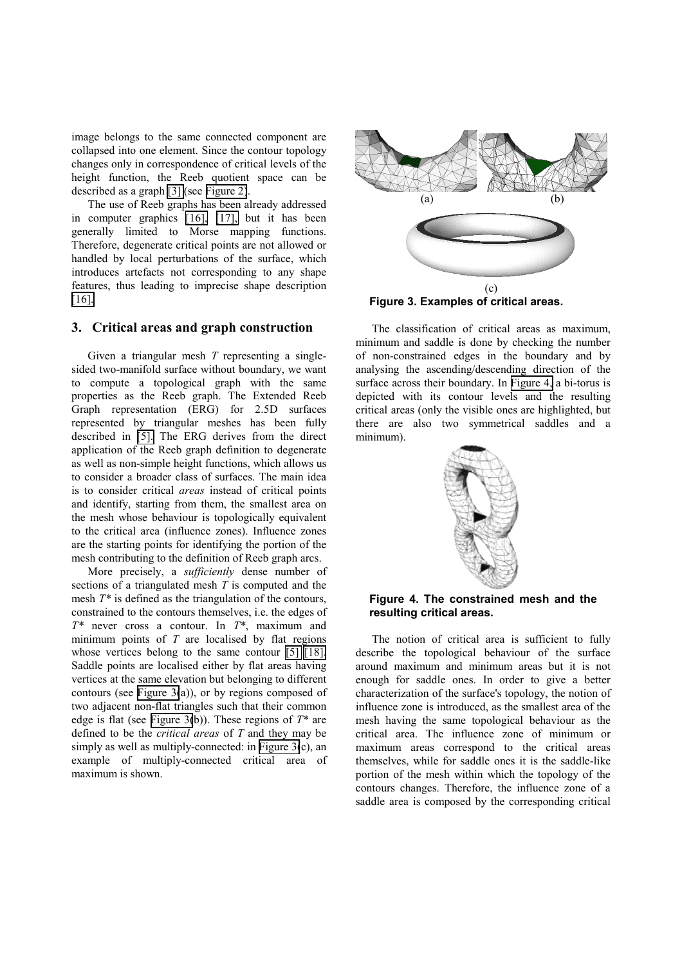image belongs to the same connected component are collapsed into one element. Since the contour topology changes only in correspondence of critical levels of the height function, the Reeb quotient space can be described as a graph [\[3\]](#page-9-0) (see [Figure 2\)](#page-1-0).

The use of Reeb graphs has been already addressed in computer graphics [\[16\],](#page-9-0) [\[17\],](#page-9-0) but it has been generally limited to Morse mapping functions. Therefore, degenerate critical points are not allowed or handled by local perturbations of the surface, which introduces artefacts not corresponding to any shape features, thus leading to imprecise shape description [\[16\].](#page-9-0) 

#### **3. Critical areas and graph construction**

Given a triangular mesh *T* representing a singlesided two-manifold surface without boundary, we want to compute a topological graph with the same properties as the Reeb graph. The Extended Reeb Graph representation (ERG) for 2.5D surfaces represented by triangular meshes has been fully described in [\[5\].](#page-9-0) The ERG derives from the direct application of the Reeb graph definition to degenerate as well as non-simple height functions, which allows us to consider a broader class of surfaces. The main idea is to consider critical *areas* instead of critical points and identify, starting from them, the smallest area on the mesh whose behaviour is topologically equivalent to the critical area (influence zones). Influence zones are the starting points for identifying the portion of the mesh contributing to the definition of Reeb graph arcs.

More precisely, a *sufficiently* dense number of sections of a triangulated mesh *T* is computed and the mesh *T\** is defined as the triangulation of the contours, constrained to the contours themselves, i.e. the edges of *T\** never cross a contour. In *T\**, maximum and minimum points of *T* are localised by flat regions whose vertices belong to the same contour [\[5\] \[18\].](#page-9-0) Saddle points are localised either by flat areas having vertices at the same elevation but belonging to different contours (see Figure 3(a)), or by regions composed of two adjacent non-flat triangles such that their common edge is flat (see Figure 3(b)). These regions of *T\** are defined to be the *critical areas* of *T* and they may be simply as well as multiply-connected: in Figure  $3(c)$ , an example of multiply-connected critical area of maximum is shown.



**Figure 3. Examples of critical areas.** 

The classification of critical areas as maximum, minimum and saddle is done by checking the number of non-constrained edges in the boundary and by analysing the ascending/descending direction of the surface across their boundary. In Figure 4, a bi-torus is depicted with its contour levels and the resulting critical areas (only the visible ones are highlighted, but there are also two symmetrical saddles and a minimum).



### **Figure 4. The constrained mesh and the resulting critical areas.**

The notion of critical area is sufficient to fully describe the topological behaviour of the surface around maximum and minimum areas but it is not enough for saddle ones. In order to give a better characterization of the surface's topology, the notion of influence zone is introduced, as the smallest area of the mesh having the same topological behaviour as the critical area. The influence zone of minimum or maximum areas correspond to the critical areas themselves, while for saddle ones it is the saddle-like portion of the mesh within which the topology of the contours changes. Therefore, the influence zone of a saddle area is composed by the corresponding critical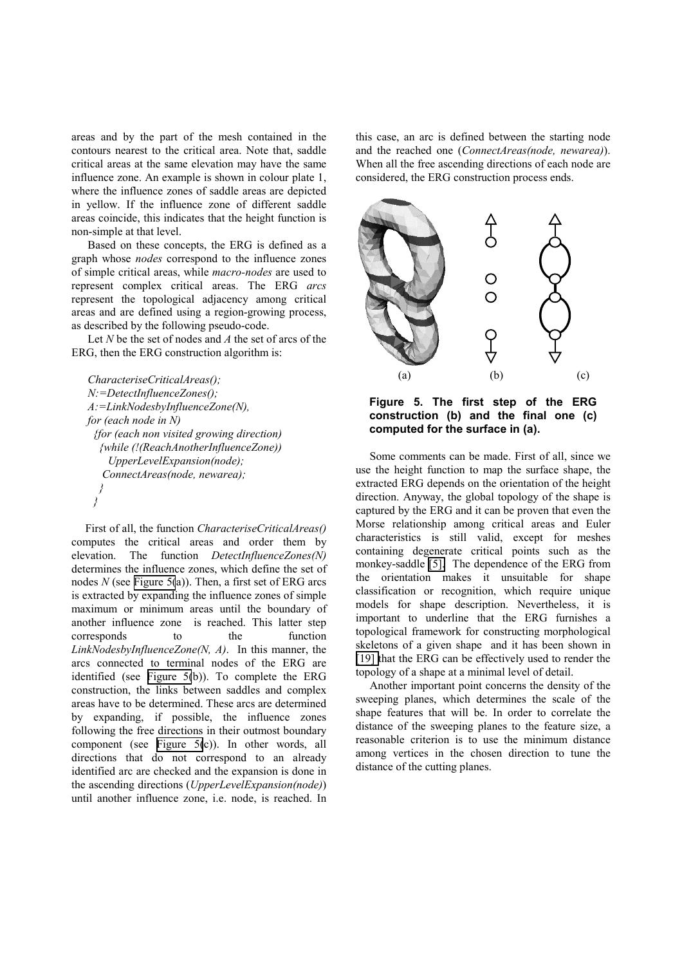areas and by the part of the mesh contained in the contours nearest to the critical area. Note that, saddle critical areas at the same elevation may have the same influence zone. An example is shown in colour plate 1, where the influence zones of saddle areas are depicted in yellow. If the influence zone of different saddle areas coincide, this indicates that the height function is non-simple at that level.

Based on these concepts, the ERG is defined as a graph whose *nodes* correspond to the influence zones of simple critical areas, while *macro-nodes* are used to represent complex critical areas. The ERG *arcs* represent the topological adjacency among critical areas and are defined using a region-growing process, as described by the following pseudo-code.

Let *N* be the set of nodes and *A* the set of arcs of the ERG, then the ERG construction algorithm is:

```
CharacteriseCriticalAreas(); 
N:=DetectInfluenceZones(); 
A:=LinkNodesbyInfluenceZone(N), 
for (each node in N) 
  {for (each non visited growing direction) 
   {while (!(ReachAnotherInfluenceZone)) 
      UpperLevelExpansion(node); 
    ConnectAreas(node, newarea); 
 } 
  }
```
First of all, the function *CharacteriseCriticalAreas()*  computes the critical areas and order them by elevation. The function *DetectInfluenceZones(N)* determines the influence zones, which define the set of nodes *N* (see Figure 5(a)). Then, a first set of ERG arcs is extracted by expanding the influence zones of simple maximum or minimum areas until the boundary of another influence zone is reached. This latter step corresponds to the function *LinkNodesbyInfluenceZone(N, A)*. In this manner, the arcs connected to terminal nodes of the ERG are identified (see Figure 5(b)). To complete the ERG construction, the links between saddles and complex areas have to be determined. These arcs are determined by expanding, if possible, the influence zones following the free directions in their outmost boundary component (see Figure 5(c)). In other words, all directions that do not correspond to an already identified arc are checked and the expansion is done in the ascending directions (*UpperLevelExpansion(node)*) until another influence zone, i.e. node, is reached. In

this case, an arc is defined between the starting node and the reached one (*ConnectAreas(node, newarea)*). When all the free ascending directions of each node are considered, the ERG construction process ends.



**Figure 5. The first step of the ERG construction (b) and the final one (c) computed for the surface in (a).** 

Some comments can be made. First of all, since we use the height function to map the surface shape, the extracted ERG depends on the orientation of the height direction. Anyway, the global topology of the shape is captured by the ERG and it can be proven that even the Morse relationship among critical areas and Euler characteristics is still valid, except for meshes containing degenerate critical points such as the monkey-saddle [\[5\].](#page-9-0) The dependence of the ERG from the orientation makes it unsuitable for shape classification or recognition, which require unique models for shape description. Nevertheless, it is important to underline that the ERG furnishes a topological framework for constructing morphological skeletons of a given shape and it has been shown in [\[19\]](#page-9-0) that the ERG can be effectively used to render the topology of a shape at a minimal level of detail.

Another important point concerns the density of the sweeping planes, which determines the scale of the shape features that will be. In order to correlate the distance of the sweeping planes to the feature size, a reasonable criterion is to use the minimum distance among vertices in the chosen direction to tune the distance of the cutting planes.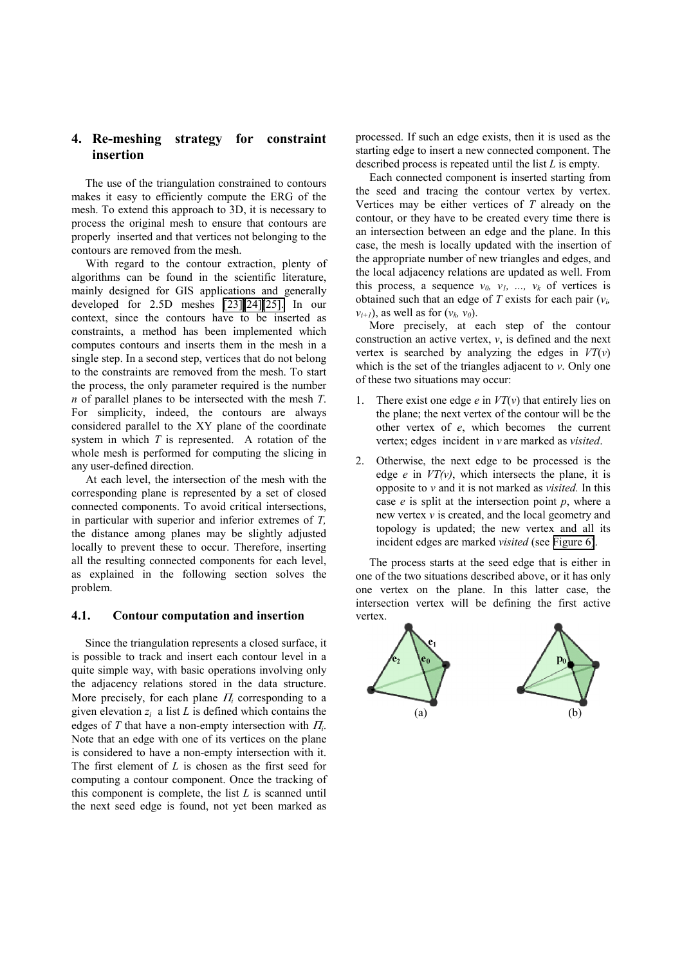# **4. Re-meshing strategy for constraint insertion**

The use of the triangulation constrained to contours makes it easy to efficiently compute the ERG of the mesh. To extend this approach to 3D, it is necessary to process the original mesh to ensure that contours are properly inserted and that vertices not belonging to the contours are removed from the mesh.

With regard to the contour extraction, plenty of algorithms can be found in the scientific literature, mainly designed for GIS applications and generally developed for 2.5D meshes [\[23\]\[24\]\[25\].](#page-9-0) In our context, since the contours have to be inserted as constraints, a method has been implemented which computes contours and inserts them in the mesh in a single step. In a second step, vertices that do not belong to the constraints are removed from the mesh. To start the process, the only parameter required is the number *n* of parallel planes to be intersected with the mesh *T*. For simplicity, indeed, the contours are always considered parallel to the XY plane of the coordinate system in which *T* is represented. A rotation of the whole mesh is performed for computing the slicing in any user-defined direction.

At each level, the intersection of the mesh with the corresponding plane is represented by a set of closed connected components. To avoid critical intersections, in particular with superior and inferior extremes of *T,* the distance among planes may be slightly adjusted locally to prevent these to occur. Therefore, inserting all the resulting connected components for each level, as explained in the following section solves the problem.

#### **4.1. Contour computation and insertion**

Since the triangulation represents a closed surface, it is possible to track and insert each contour level in a quite simple way, with basic operations involving only the adjacency relations stored in the data structure. More precisely, for each plane <sup>Π</sup>*<sup>i</sup>* corresponding to a given elevation *zi* a list *L* is defined which contains the edges of *T* that have a non-empty intersection with <sup>Π</sup>*i*. Note that an edge with one of its vertices on the plane is considered to have a non-empty intersection with it. The first element of *L* is chosen as the first seed for computing a contour component. Once the tracking of this component is complete, the list *L* is scanned until the next seed edge is found, not yet been marked as

processed. If such an edge exists, then it is used as the starting edge to insert a new connected component. The described process is repeated until the list *L* is empty.

Each connected component is inserted starting from the seed and tracing the contour vertex by vertex. Vertices may be either vertices of *T* already on the contour, or they have to be created every time there is an intersection between an edge and the plane. In this case, the mesh is locally updated with the insertion of the appropriate number of new triangles and edges, and the local adjacency relations are updated as well. From this process, a sequence  $v_0$ ,  $v_1$ , ...,  $v_k$  of vertices is obtained such that an edge of *T* exists for each pair (*vi,*   $v_{i+1}$ ), as well as for  $(v_k, v_0)$ .

More precisely, at each step of the contour construction an active vertex, *v*, is defined and the next vertex is searched by analyzing the edges in *VT*(*v*) which is the set of the triangles adjacent to *v*. Only one of these two situations may occur:

- 1. There exist one edge *e* in *VT*(*v*) that entirely lies on the plane; the next vertex of the contour will be the other vertex of *e*, which becomes the current vertex; edges incident in *v* are marked as *visited*.
- 2. Otherwise, the next edge to be processed is the edge  $e$  in  $VT(v)$ , which intersects the plane, it is opposite to *v* and it is not marked as *visited.* In this case *e* is split at the intersection point *p*, where a new vertex *v* is created, and the local geometry and topology is updated; the new vertex and all its incident edges are marked *visited* (see [Figure 6\)](#page-5-0).

The process starts at the seed edge that is either in one of the two situations described above, or it has only one vertex on the plane. In this latter case, the intersection vertex will be defining the first active vertex.

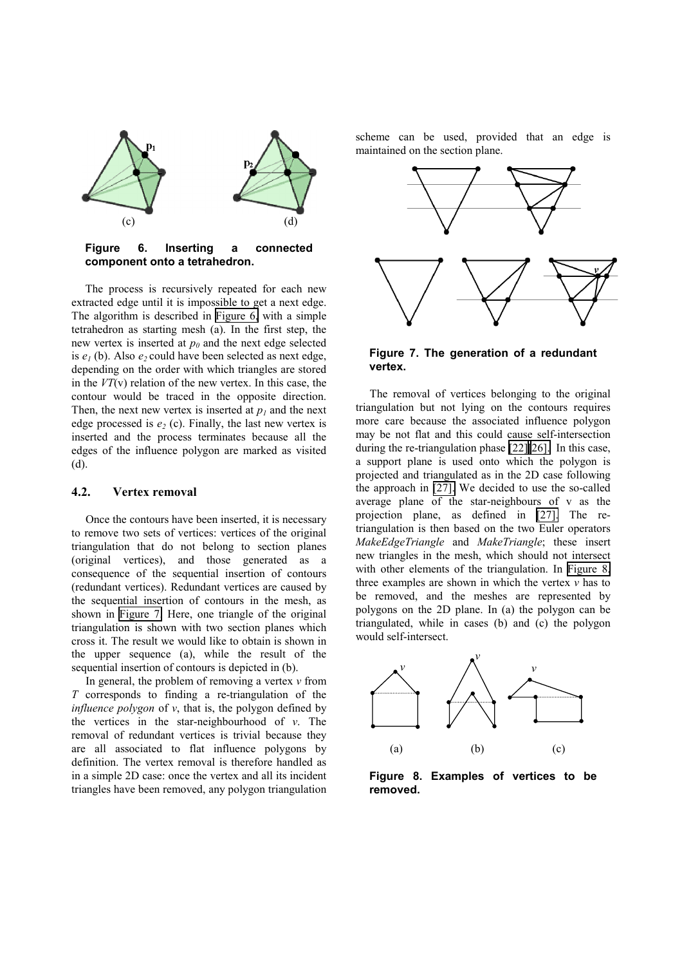<span id="page-5-0"></span>

#### **Figure 6. Inserting a connected component onto a tetrahedron.**

The process is recursively repeated for each new extracted edge until it is impossible to get a next edge. The algorithm is described in Figure 6, with a simple tetrahedron as starting mesh (a). In the first step, the new vertex is inserted at  $p_0$  and the next edge selected is  $e_1$  (b). Also  $e_2$  could have been selected as next edge, depending on the order with which triangles are stored in the *VT*(v) relation of the new vertex. In this case, the contour would be traced in the opposite direction. Then, the next new vertex is inserted at  $p_1$  and the next edge processed is  $e_2$  (c). Finally, the last new vertex is inserted and the process terminates because all the edges of the influence polygon are marked as visited (d).

#### **4.2. Vertex removal**

Once the contours have been inserted, it is necessary to remove two sets of vertices: vertices of the original triangulation that do not belong to section planes (original vertices), and those generated as a consequence of the sequential insertion of contours (redundant vertices). Redundant vertices are caused by the sequential insertion of contours in the mesh, as shown in Figure 7. Here, one triangle of the original triangulation is shown with two section planes which cross it. The result we would like to obtain is shown in the upper sequence (a), while the result of the sequential insertion of contours is depicted in (b).

In general, the problem of removing a vertex *v* from *T* corresponds to finding a re-triangulation of the *influence polygon* of *v*, that is, the polygon defined by the vertices in the star-neighbourhood of *v*. The removal of redundant vertices is trivial because they are all associated to flat influence polygons by definition. The vertex removal is therefore handled as in a simple 2D case: once the vertex and all its incident triangles have been removed, any polygon triangulation

scheme can be used, provided that an edge is maintained on the section plane.



#### **Figure 7. The generation of a redundant vertex.**

The removal of vertices belonging to the original triangulation but not lying on the contours requires more care because the associated influence polygon may be not flat and this could cause self-intersection during the re-triangulation phase [\[22\]\[26\].](#page-9-0) In this case, a support plane is used onto which the polygon is projected and triangulated as in the 2D case following the approach in [\[27\].](#page-9-0) We decided to use the so-called average plane of the star-neighbours of v as the projection plane, as defined in [\[27\].](#page-9-0) The retriangulation is then based on the two Euler operators *MakeEdgeTriangle* and *MakeTriangle*; these insert new triangles in the mesh, which should not intersect with other elements of the triangulation. In Figure 8, three examples are shown in which the vertex *v* has to be removed, and the meshes are represented by polygons on the 2D plane. In (a) the polygon can be triangulated, while in cases (b) and (c) the polygon would self-intersect.



**Figure 8. Examples of vertices to be removed.**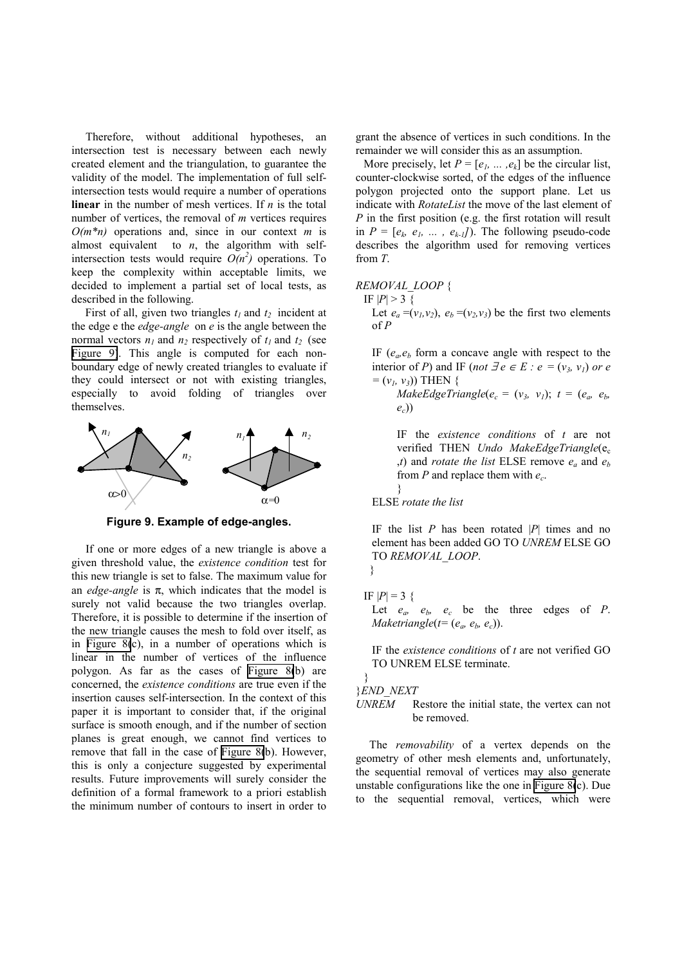Therefore, without additional hypotheses, an intersection test is necessary between each newly created element and the triangulation, to guarantee the validity of the model. The implementation of full selfintersection tests would require a number of operations **linear** in the number of mesh vertices. If *n* is the total number of vertices, the removal of *m* vertices requires *O(m\*n)* operations and, since in our context *m* is almost equivalent to  $n$ , the algorithm with selfintersection tests would require  $O(n^2)$  operations. To keep the complexity within acceptable limits, we decided to implement a partial set of local tests, as described in the following.

First of all, given two triangles  $t_1$  and  $t_2$  incident at the edge e the *edge-angle* on *e* is the angle between the normal vectors  $n_1$  and  $n_2$  respectively of  $t_1$  and  $t_2$  (see Figure 9). This angle is computed for each nonboundary edge of newly created triangles to evaluate if they could intersect or not with existing triangles, especially to avoid folding of triangles over themselves.



**Figure 9. Example of edge-angles.** 

If one or more edges of a new triangle is above a given threshold value, the *existence condition* test for this new triangle is set to false. The maximum value for an *edge-angle* is π, which indicates that the model is surely not valid because the two triangles overlap. Therefore, it is possible to determine if the insertion of the new triangle causes the mesh to fold over itself, as in [Figure 8\(](#page-5-0)c), in a number of operations which is linear in the number of vertices of the influence polygon. As far as the cases of [Figure 8\(](#page-5-0)b) are concerned, the *existence conditions* are true even if the insertion causes self-intersection. In the context of this paper it is important to consider that, if the original surface is smooth enough, and if the number of section planes is great enough, we cannot find vertices to remove that fall in the case of [Figure 8\(](#page-5-0)b). However, this is only a conjecture suggested by experimental results. Future improvements will surely consider the definition of a formal framework to a priori establish the minimum number of contours to insert in order to

grant the absence of vertices in such conditions. In the remainder we will consider this as an assumption.

More precisely, let  $P = [e_1, \dots, e_k]$  be the circular list, counter-clockwise sorted, of the edges of the influence polygon projected onto the support plane. Let us indicate with *RotateList* the move of the last element of *P* in the first position (e.g. the first rotation will result in  $P = [e_k, e_l, \dots, e_{k-l}]$ . The following pseudo-code describes the algorithm used for removing vertices from *T*.

REMOVAL LOOP {  
\nIF 
$$
|P| > 3
$$
 {  
\nLet  $e_a = (v_1, v_2)$ ,  $e_b = (v_2, v_3)$  be the first two elements  
\nof P

IF  $(e_a, e_b)$  form a concave angle with respect to the interior of *P*) and IF (*not*  $\exists e \in E : e = (v_3, v_1)$  or e  $= (v_1, v_3)$  THEN {

*MakeEdgeTriangle*( $e_c = (v_3, v_1); t = (e_a, e_b,$ *ec*))

IF the *existence conditions* of *t* are not verified THEN *Undo MakeEdgeTriangle*(e<sub>c</sub> *,t*) and *rotate the list* ELSE remove  $e_a$  and  $e_b$ from *P* and replace them with *ec*. }

ELSE *rotate the list* 

IF the list *P* has been rotated |*P*| times and no element has been added GO TO *UNREM* ELSE GO TO *REMOVAL\_LOOP*. }

$$
IF |P| = 3 \ \{
$$

Let  $e_a$ ,  $e_b$ ,  $e_c$  be the three edges of *P*. *Maketriangle*( $t = (e_a, e_b, e_c)$ ).

IF the *existence conditions* of *t* are not verified GO TO UNREM ELSE terminate.

### }*END\_NEXT*

}

#### *UNREM* Restore the initial state, the vertex can not be removed.

The *removability* of a vertex depends on the geometry of other mesh elements and, unfortunately, the sequential removal of vertices may also generate unstable configurations like the one in [Figure 8\(](#page-5-0)c). Due to the sequential removal, vertices, which were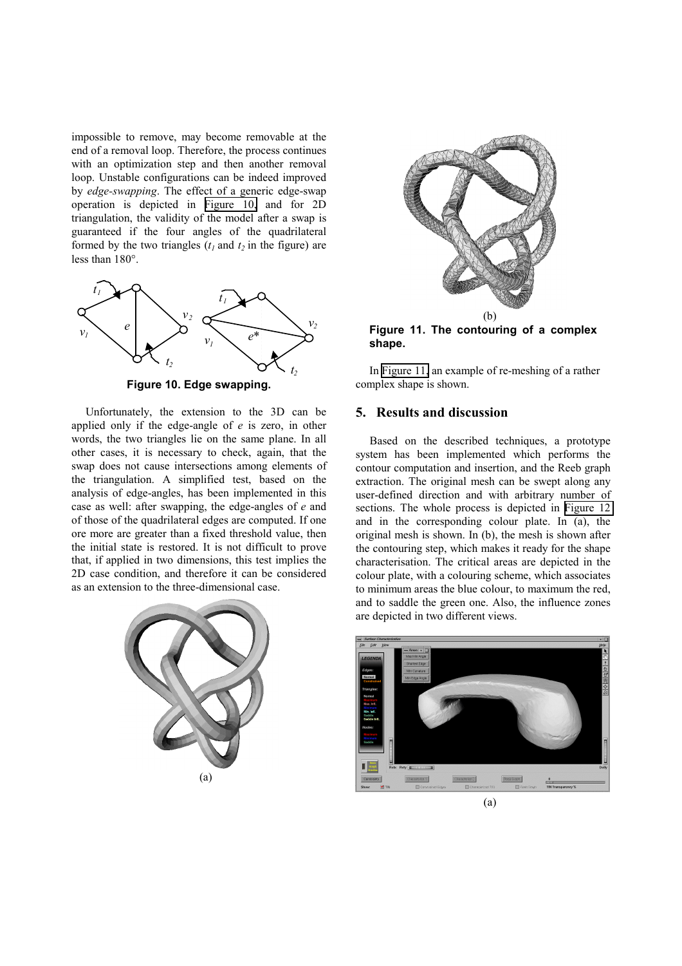impossible to remove, may become removable at the end of a removal loop. Therefore, the process continues with an optimization step and then another removal loop. Unstable configurations can be indeed improved by *edge-swapping*. The effect of a generic edge-swap operation is depicted in Figure 10, and for 2D triangulation, the validity of the model after a swap is guaranteed if the four angles of the quadrilateral formed by the two triangles  $(t_1$  and  $t_2$  in the figure) are less than 180°.



**Figure 10. Edge swapping.** 

Unfortunately, the extension to the 3D can be applied only if the edge-angle of *e* is zero, in other words, the two triangles lie on the same plane. In all other cases, it is necessary to check, again, that the swap does not cause intersections among elements of the triangulation. A simplified test, based on the analysis of edge-angles, has been implemented in this case as well: after swapping, the edge-angles of *e* and of those of the quadrilateral edges are computed. If one ore more are greater than a fixed threshold value, then the initial state is restored. It is not difficult to prove that, if applied in two dimensions, this test implies the 2D case condition, and therefore it can be considered as an extension to the three-dimensional case.





**Figure 11. The contouring of a complex shape.** 

In Figure 11, an example of re-meshing of a rather complex shape is shown.

## **5. Results and discussion**

Based on the described techniques, a prototype system has been implemented which performs the contour computation and insertion, and the Reeb graph extraction. The original mesh can be swept along any user-defined direction and with arbitrary number of sections. The whole process is depicted in [Figure 12](#page-8-0)  and in the corresponding colour plate. In (a), the original mesh is shown. In (b), the mesh is shown after the contouring step, which makes it ready for the shape characterisation. The critical areas are depicted in the colour plate, with a colouring scheme, which associates to minimum areas the blue colour, to maximum the red, and to saddle the green one. Also, the influence zones are depicted in two different views.

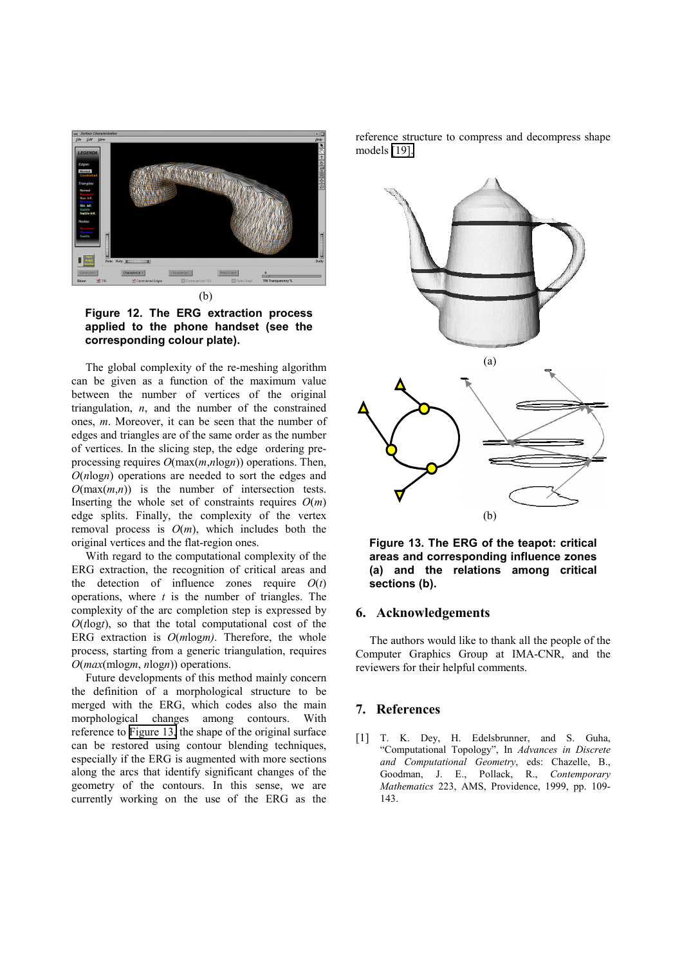<span id="page-8-0"></span>

**Figure 12. The ERG extraction process applied to the phone handset (see the corresponding colour plate).** 

The global complexity of the re-meshing algorithm can be given as a function of the maximum value between the number of vertices of the original triangulation, *n*, and the number of the constrained ones, *m*. Moreover, it can be seen that the number of edges and triangles are of the same order as the number of vertices. In the slicing step, the edge ordering preprocessing requires *O*(max(*m*,*n*log*n*)) operations. Then, *O*(*n*log*n*) operations are needed to sort the edges and  $O(\max(m,n))$  is the number of intersection tests. Inserting the whole set of constraints requires  $O(m)$ edge splits. Finally, the complexity of the vertex removal process is  $O(m)$ , which includes both the original vertices and the flat-region ones.

With regard to the computational complexity of the ERG extraction, the recognition of critical areas and the detection of influence zones require  $O(t)$ operations, where *t* is the number of triangles. The complexity of the arc completion step is expressed by  $O(t \log t)$ , so that the total computational cost of the ERG extraction is  $O(m \log m)$ . Therefore, the whole process, starting from a generic triangulation, requires *O*(*max*(mlog*m*, *n*log*n*)) operations.

Future developments of this method mainly concern the definition of a morphological structure to be merged with the ERG, which codes also the main morphological changes among contours. With reference to Figure 13, the shape of the original surface can be restored using contour blending techniques, especially if the ERG is augmented with more sections along the arcs that identify significant changes of the geometry of the contours. In this sense, we are currently working on the use of the ERG as the

reference structure to compress and decompress shape models [\[19\].](#page-9-0) 



**Figure 13. The ERG of the teapot: critical areas and corresponding influence zones (a) and the relations among critical sections (b).** 

### **6. Acknowledgements**

The authors would like to thank all the people of the Computer Graphics Group at IMA-CNR, and the reviewers for their helpful comments.

### **7. References**

[1] T. K. Dey, H. Edelsbrunner, and S. Guha, "Computational Topology", In *Advances in Discrete and Computational Geometry*, eds: Chazelle, B., Goodman, J. E., Pollack, R., *Contemporary Mathematics* 223, AMS, Providence, 1999, pp. 109- 143.